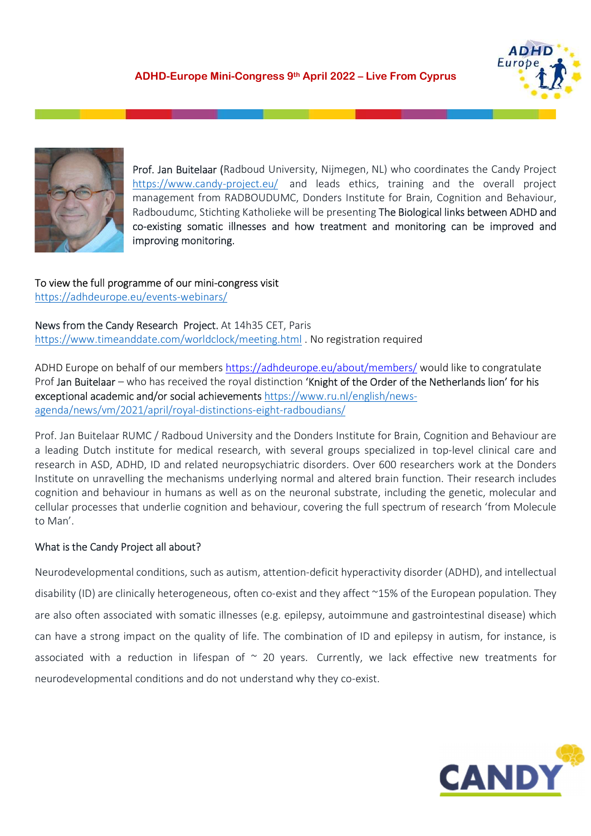



Prof. Jan Buitelaar (Radboud University, Nijmegen, NL) who coordinates the Candy Project https://www.candy-project.eu/ and leads ethics, training and the overall project management from RADBOUDUMC, Donders Institute for Brain, Cognition and Behaviour, Radboudumc, Stichting Katholieke will be presenting The Biological links between ADHD and co-existing somatic illnesses and how treatment and monitoring can be improved and improving monitoring.

To view the full programme of our mini-congress visit https://adhdeurope.eu/events-webinars/

News from the Candy Research Project. At 14h35 CET, Paris https://www.timeanddate.com/worldclock/meeting.html . No registration required

ADHD Europe on behalf of our members https://adhdeurope.eu/about/members/ would like to congratulate Prof Jan Buitelaar – who has received the royal distinction 'Knight of the Order of the Netherlands lion' for his exceptional academic and/or social achievements https://www.ru.nl/english/news-

agenda/news/vm/2021/april/royal-distinctions-eight-radboudians/<br>Prof. Jan Buitelaar RUMC / Radboud University and the Donders Institute for Brain, Cognition and Behaviour are a leading Dutch institute for medical research, with several groups specialized in top-level clinical care and research in ASD, ADHD, ID and related neuropsychiatric disorders. Over 600 researchers work at the Donders Institute on unravelling the mechanisms underlying normal and altered brain function. Their research includes cognition and behaviour in humans as well as on the neuronal substrate, including the genetic, molecular and cellular processes that underlie cognition and behaviour, covering the full spectrum of research 'from Molecule to Man'.

What is the Candy Project all about?<br>Neurodevelopmental conditions, such as autism, attention-deficit hyperactivity disorder (ADHD), and intellectual disability (ID) are clinically heterogeneous, often co-exist and they affect ~15% of the European population. They are also often associated with somatic illnesses (e.g. epilepsy, autoimmune and gastrointestinal disease) which can have a strong impact on the quality of life. The combination of ID and epilepsy in autism, for instance, is associated with a reduction in lifespan of  $\sim$  20 years. Currently, we lack effective new treatments for neurodevelopmental conditions and do not understand why they co-exist.